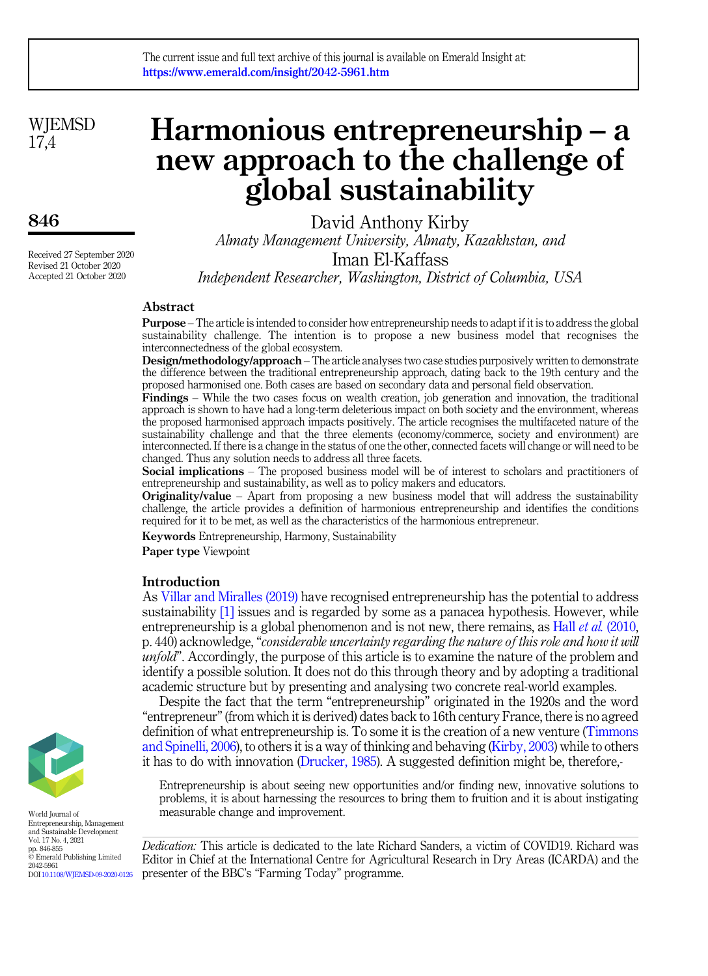**WIEMSD** 17,4

# 846

Received 27 September 2020 Revised 21 October 2020 Accepted 21 October 2020

# Harmonious entrepreneurship – a new approach to the challenge of global sustainability

David Anthony Kirby Almaty Management University, Almaty, Kazakhstan, and Iman El-Kaffass Independent Researcher, Washington, District of Columbia, USA

# Abstract

Purpose – The article is intended to consider how entrepreneurship needs to adapt if it is to address the global sustainability challenge. The intention is to propose a new business model that recognises the interconnectedness of the global ecosystem.

Design/methodology/approach – The article analyses two case studies purposively written to demonstrate the difference between the traditional entrepreneurship approach, dating back to the 19th century and the proposed harmonised one. Both cases are based on secondary data and personal field observation.

Findings – While the two cases focus on wealth creation, job generation and innovation, the traditional approach is shown to have had a long-term deleterious impact on both society and the environment, whereas the proposed harmonised approach impacts positively. The article recognises the multifaceted nature of the sustainability challenge and that the three elements (economy/commerce, society and environment) are interconnected. If there is a change in the status of one the other, connected facets will change or will need to be changed. Thus any solution needs to address all three facets.

Social implications – The proposed business model will be of interest to scholars and practitioners of entrepreneurship and sustainability, as well as to policy makers and educators.

**Originality/value** – Apart from proposing a new business model that will address the sustainability challenge, the article provides a definition of harmonious entrepreneurship and identifies the conditions required for it to be met, as well as the characteristics of the harmonious entrepreneur.

Keywords Entrepreneurship, Harmony, Sustainability

Paper type Viewpoint

## Introduction

As [Villar and Miralles \(2019\)](#page-8-0) have recognised entrepreneurship has the potential to address sustainability [\[1\]](#page-6-0) issues and is regarded by some as a panacea hypothesis. However, while entrepreneurship is a global phenomenon and is not new, there remains, as Hall *et al.* [\(2010](#page-8-1), p. 440) acknowledge, "considerable uncertainty regarding the nature of this role and how it will unfold". Accordingly, the purpose of this article is to examine the nature of the problem and identify a possible solution. It does not do this through theory and by adopting a traditional academic structure but by presenting and analysing two concrete real-world examples.

Despite the fact that the term "entrepreneurship" originated in the 1920s and the word "entrepreneur"(from which it is derived) dates back to 16th century France, there is no agreed definition of what entrepreneurship is. To some it is the creation of a new venture [\(Timmons](#page-8-2) [and Spinelli, 2006\)](#page-8-2), to others it is a way of thinking and behaving ([Kirby, 2003](#page-8-3)) while to others it has to do with innovation [\(Drucker, 1985](#page-8-4)). A suggested definition might be, therefore,-

Entrepreneurship is about seeing new opportunities and/or finding new, innovative solutions to problems, it is about harnessing the resources to bring them to fruition and it is about instigating measurable change and improvement.

Dedication: This article is dedicated to the late Richard Sanders, a victim of COVID19. Richard was Editor in Chief at the International Centre for Agricultural Research in Dry Areas (ICARDA) and the presenter of the BBC's "Farming Today" programme.



World Journal of Entrepreneurship, Management and Sustainable Development Vol. 17 No. 4, 2021 pp. 846-855 © Emerald Publishing Limited 2042-5961 DOI [10.1108/WJEMSD-09-2020-0126](https://doi.org/10.1108/WJEMSD-09-2020-0126)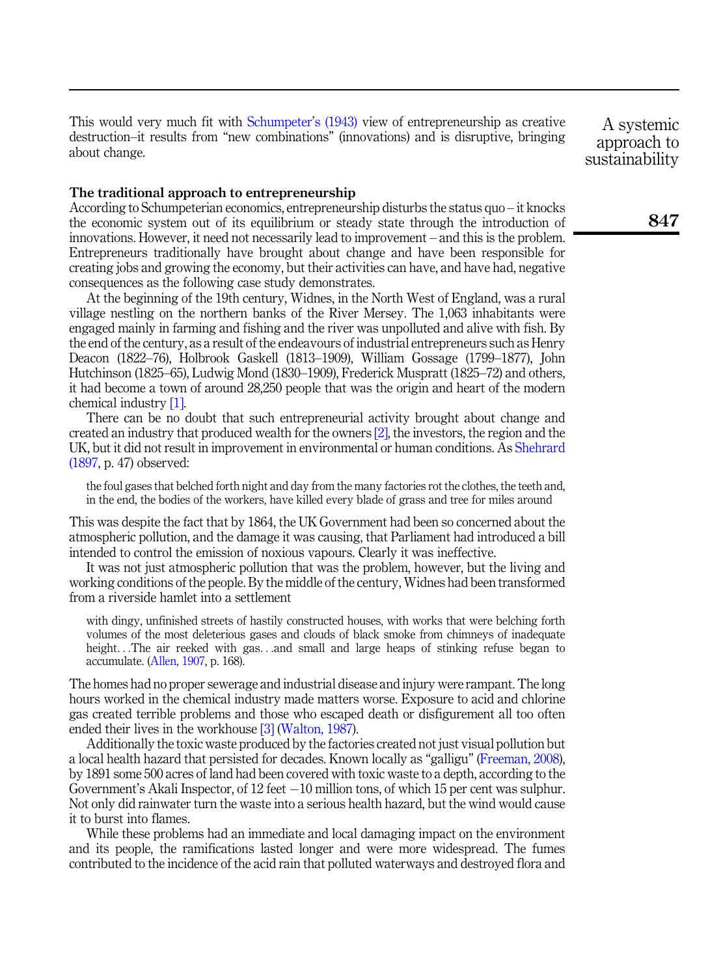This would very much fit with [Schumpeter](#page-8-5)'s (1943) view of entrepreneurship as creative destruction–it results from "new combinations" (innovations) and is disruptive, bringing about change.

The traditional approach to entrepreneurship

According to Schumpeterian economics, entrepreneurship disturbs the status quo – it knocks the economic system out of its equilibrium or steady state through the introduction of innovations. However, it need not necessarily lead to improvement – and this is the problem. Entrepreneurs traditionally have brought about change and have been responsible for creating jobs and growing the economy, but their activities can have, and have had, negative consequences as the following case study demonstrates.

At the beginning of the 19th century, Widnes, in the North West of England, was a rural village nestling on the northern banks of the River Mersey. The 1,063 inhabitants were engaged mainly in farming and fishing and the river was unpolluted and alive with fish. By the end of the century, as a result of the endeavours of industrial entrepreneurs such as Henry Deacon (1822–76), Holbrook Gaskell (1813–1909), William Gossage (1799–1877), John Hutchinson (1825–65), Ludwig Mond (1830–1909), Frederick Muspratt (1825–72) and others, it had become a town of around 28,250 people that was the origin and heart of the modern chemical industry [\[1\].](#page-6-0)

There can be no doubt that such entrepreneurial activity brought about change and created an industry that produced wealth for the owners  $[2]$ , the investors, the region and the UK, but it did not result in improvement in environmental or human conditions. As [Shehrard](#page-8-6) [\(1897](#page-8-6), p. 47) observed:

the foul gases that belched forth night and day from the many factories rot the clothes, the teeth and, in the end, the bodies of the workers, have killed every blade of grass and tree for miles around

This was despite the fact that by 1864, the UK Government had been so concerned about the atmospheric pollution, and the damage it was causing, that Parliament had introduced a bill intended to control the emission of noxious vapours. Clearly it was ineffective.

It was not just atmospheric pollution that was the problem, however, but the living and working conditions of the people. By the middle of the century, Widnes had been transformed from a riverside hamlet into a settlement

with dingy, unfinished streets of hastily constructed houses, with works that were belching forth volumes of the most deleterious gases and clouds of black smoke from chimneys of inadequate height...The air reeked with gas...and small and large heaps of stinking refuse began to accumulate. ([Allen, 1907,](#page-7-1) p. 168).

The homes had no proper sewerage and industrial disease and injury were rampant. The long hours worked in the chemical industry made matters worse. Exposure to acid and chlorine gas created terrible problems and those who escaped death or disfigurement all too often ended their lives in the workhouse [\[3\]](#page-7-2) ([Walton, 1987\)](#page-9-0).

Additionally the toxic waste produced by the factories created not just visual pollution but a local health hazard that persisted for decades. Known locally as "galligu" ([Freeman, 2008\)](#page-8-7), by 1891 some 500 acres of land had been covered with toxic waste to a depth, according to the Government's Akali Inspector, of  $12$  feet  $-10$  million tons, of which  $15$  per cent was sulphur. Not only did rainwater turn the waste into a serious health hazard, but the wind would cause it to burst into flames.

While these problems had an immediate and local damaging impact on the environment and its people, the ramifications lasted longer and were more widespread. The fumes contributed to the incidence of the acid rain that polluted waterways and destroyed flora and

A systemic approach to sustainability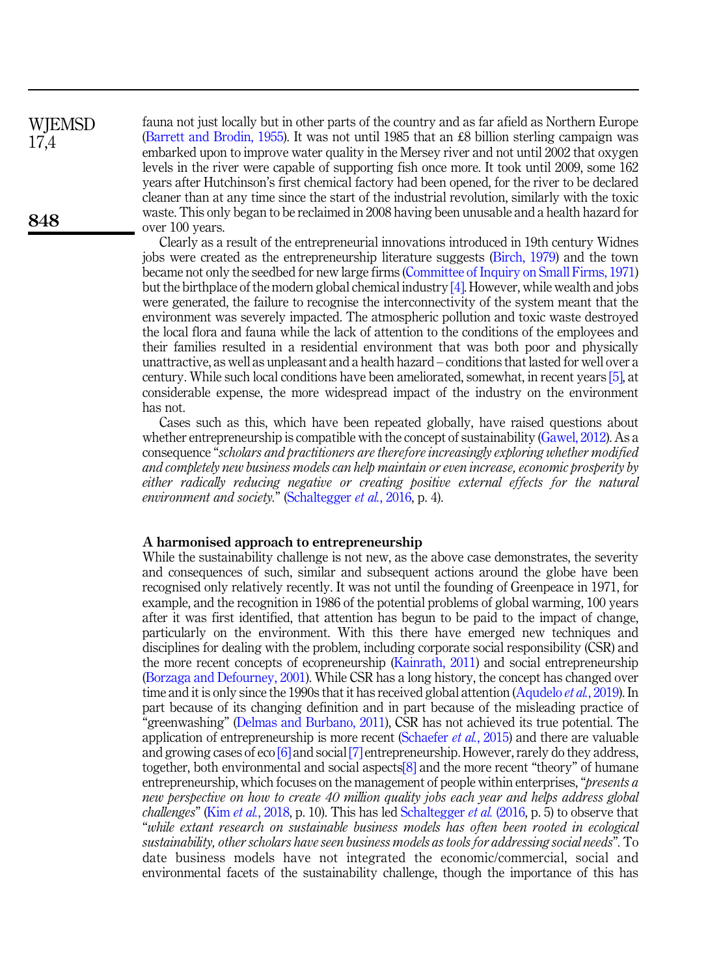fauna not just locally but in other parts of the country and as far afield as Northern Europe ([Barrett and Brodin, 1955\)](#page-7-3). It was not until 1985 that an £8 billion sterling campaign was embarked upon to improve water quality in the Mersey river and not until 2002 that oxygen levels in the river were capable of supporting fish once more. It took until 2009, some 162 years after Hutchinson's first chemical factory had been opened, for the river to be declared cleaner than at any time since the start of the industrial revolution, similarly with the toxic waste. This only began to be reclaimed in 2008 having been unusable and a health hazard for over 100 years. **WIEMSD** 

> Clearly as a result of the entrepreneurial innovations introduced in 19th century Widnes jobs were created as the entrepreneurship literature suggests ([Birch, 1979](#page-7-4)) and the town became not only the seedbed for new large firms ([Committee of Inquiry on Small Firms, 1971\)](#page-8-8) but the birthplace of the modern global chemical industry  $[4]$ . However, while wealth and jobs were generated, the failure to recognise the interconnectivity of the system meant that the environment was severely impacted. The atmospheric pollution and toxic waste destroyed the local flora and fauna while the lack of attention to the conditions of the employees and their families resulted in a residential environment that was both poor and physically unattractive, as well as unpleasant and a health hazard – conditions that lasted for well over a century. While such local conditions have been ameliorated, somewhat, in recent years [\[5\],](#page-7-6) at considerable expense, the more widespread impact of the industry on the environment has not.

> Cases such as this, which have been repeated globally, have raised questions about whether entrepreneurship is compatible with the concept of sustainability [\(Gawel, 2012](#page-8-9)). As a consequence "scholars and practitioners are therefore increasingly exploring whether modified and completely new business models can help maintain or even increase, economic prosperity by either radically reducing negative or creating positive external effects for the natural environment and society." [\(Schaltegger](#page-8-10) et al., 2016, p. 4).

#### A harmonised approach to entrepreneurship

While the sustainability challenge is not new, as the above case demonstrates, the severity and consequences of such, similar and subsequent actions around the globe have been recognised only relatively recently. It was not until the founding of Greenpeace in 1971, for example, and the recognition in 1986 of the potential problems of global warming, 100 years after it was first identified, that attention has begun to be paid to the impact of change, particularly on the environment. With this there have emerged new techniques and disciplines for dealing with the problem, including corporate social responsibility (CSR) and the more recent concepts of ecopreneurship ([Kainrath, 2011\)](#page-8-11) and social entrepreneurship ([Borzaga and Defourney, 2001](#page-7-7)). While CSR has a long history, the concept has changed over time and it is only since the 1990s that it has received global attention [\(Aqudelo](#page-7-8) *et al.*, 2019). In part because of its changing definition and in part because of the misleading practice of "greenwashing" ([Delmas and Burbano, 2011](#page-8-12)), CSR has not achieved its true potential. The application of entrepreneurship is more recent ([Schaefer](#page-8-13) *et al.*, 2015) and there are valuable and growing cases of eco [\[6\]](#page-7-9) and social [\[7\]](#page-7-10) entrepreneurship. However, rarely do they address, together, both environmental and social aspects[\[8\]](#page-7-11) and the more recent "theory" of humane entrepreneurship, which focuses on the management of people within enterprises, "*presents a* new perspective on how to create 40 million quality jobs each year and helps address global *challenges*" (Kim *et al.*[, 2018,](#page-8-14) p. 10). This has led [Schaltegger](#page-8-10) *et al.* (2016, p. 5) to observe that "while extant research on sustainable business models has often been rooted in ecological sustainability, other scholars have seen business models as tools for addressing social needs". To date business models have not integrated the economic/commercial, social and environmental facets of the sustainability challenge, though the importance of this has

17,4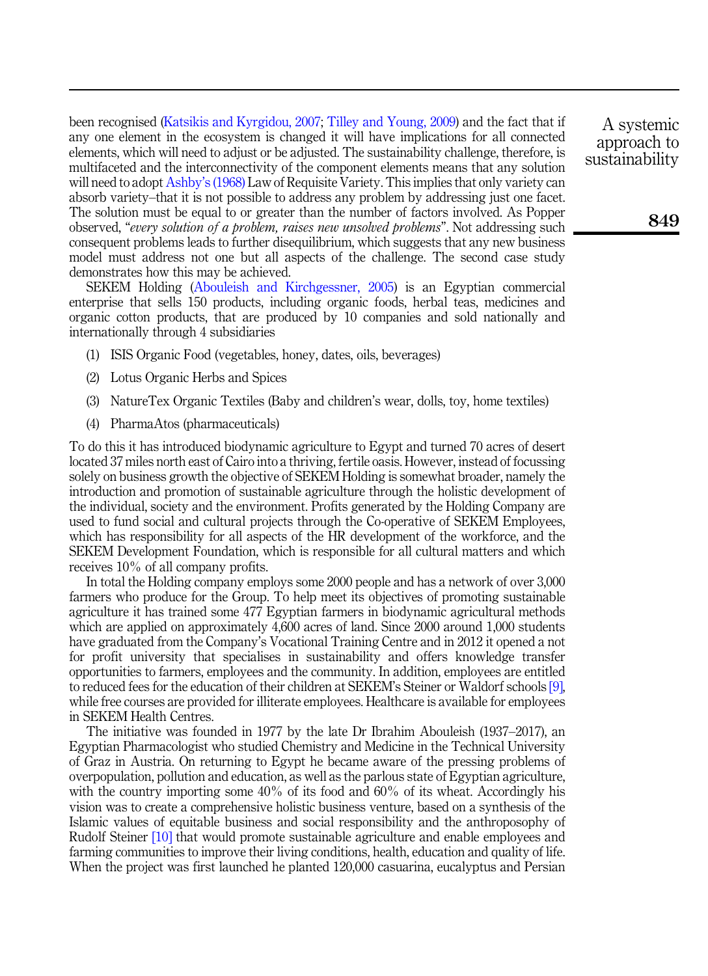been recognised [\(Katsikis and Kyrgidou, 2007;](#page-8-15) [Tilley and Young, 2009\)](#page-8-16) and the fact that if any one element in the ecosystem is changed it will have implications for all connected elements, which will need to adjust or be adjusted. The sustainability challenge, therefore, is multifaceted and the interconnectivity of the component elements means that any solution will need to adopt Ashby'[s \(1968\)](#page-7-12) Law of Requisite Variety. This implies that only variety can absorb variety–that it is not possible to address any problem by addressing just one facet. The solution must be equal to or greater than the number of factors involved. As Popper observed, "every solution of a problem, raises new unsolved problems". Not addressing such consequent problems leads to further disequilibrium, which suggests that any new business model must address not one but all aspects of the challenge. The second case study demonstrates how this may be achieved.

SEKEM Holding ([Abouleish and Kirchgessner, 2005\)](#page-7-13) is an Egyptian commercial enterprise that sells 150 products, including organic foods, herbal teas, medicines and organic cotton products, that are produced by 10 companies and sold nationally and internationally through 4 subsidiaries

- (1) ISIS Organic Food (vegetables, honey, dates, oils, beverages)
- (2) Lotus Organic Herbs and Spices
- (3) NatureTex Organic Textiles (Baby and children's wear, dolls, toy, home textiles)
- (4) PharmaAtos (pharmaceuticals)

To do this it has introduced biodynamic agriculture to Egypt and turned 70 acres of desert located 37 miles north east of Cairo into a thriving, fertile oasis. However, instead of focussing solely on business growth the objective of SEKEM Holding is somewhat broader, namely the introduction and promotion of sustainable agriculture through the holistic development of the individual, society and the environment. Profits generated by the Holding Company are used to fund social and cultural projects through the Co-operative of SEKEM Employees, which has responsibility for all aspects of the HR development of the workforce, and the SEKEM Development Foundation, which is responsible for all cultural matters and which receives 10% of all company profits.

In total the Holding company employs some 2000 people and has a network of over 3,000 farmers who produce for the Group. To help meet its objectives of promoting sustainable agriculture it has trained some 477 Egyptian farmers in biodynamic agricultural methods which are applied on approximately 4,600 acres of land. Since 2000 around 1,000 students have graduated from the Company's Vocational Training Centre and in 2012 it opened a not for profit university that specialises in sustainability and offers knowledge transfer opportunities to farmers, employees and the community. In addition, employees are entitled to reduced fees for the education of their children at SEKEM's Steiner or Waldorf schools [\[9\]](#page-7-14), while free courses are provided for illiterate employees. Healthcare is available for employees in SEKEM Health Centres.

The initiative was founded in 1977 by the late Dr Ibrahim Abouleish (1937–2017), an Egyptian Pharmacologist who studied Chemistry and Medicine in the Technical University of Graz in Austria. On returning to Egypt he became aware of the pressing problems of overpopulation, pollution and education, as well as the parlous state of Egyptian agriculture, with the country importing some 40% of its food and 60% of its wheat. Accordingly his vision was to create a comprehensive holistic business venture, based on a synthesis of the Islamic values of equitable business and social responsibility and the anthroposophy of Rudolf Steiner [\[10\]](#page-7-15) that would promote sustainable agriculture and enable employees and farming communities to improve their living conditions, health, education and quality of life. When the project was first launched he planted 120,000 casuarina, eucalyptus and Persian

A systemic approach to sustainability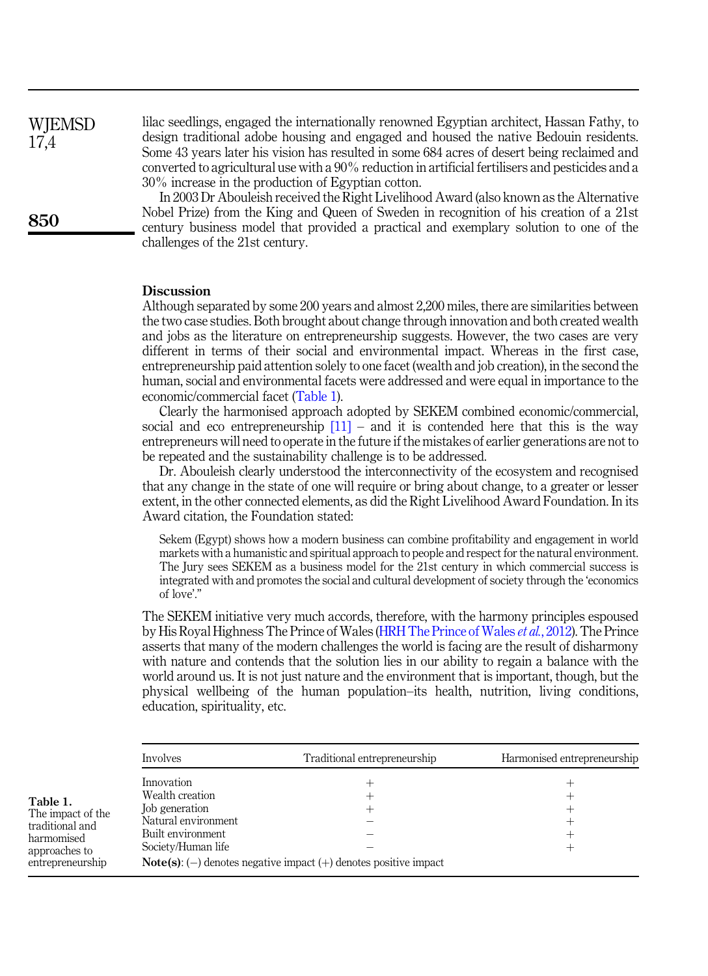**WIEMSD** 17,4

850

lilac seedlings, engaged the internationally renowned Egyptian architect, Hassan Fathy, to design traditional adobe housing and engaged and housed the native Bedouin residents. Some 43 years later his vision has resulted in some 684 acres of desert being reclaimed and converted to agricultural use with a 90% reduction in artificial fertilisers and pesticides and a 30% increase in the production of Egyptian cotton.

In 2003 Dr Abouleish received the Right Livelihood Award (also known as the Alternative Nobel Prize) from the King and Queen of Sweden in recognition of his creation of a 21st century business model that provided a practical and exemplary solution to one of the challenges of the 21st century.

#### **Discussion**

Although separated by some 200 years and almost 2,200 miles, there are similarities between the two case studies. Both brought about change through innovation and both created wealth and jobs as the literature on entrepreneurship suggests. However, the two cases are very different in terms of their social and environmental impact. Whereas in the first case, entrepreneurship paid attention solely to one facet (wealth and job creation), in the second the human, social and environmental facets were addressed and were equal in importance to the economic/commercial facet (Table 1).

Clearly the harmonised approach adopted by SEKEM combined economic/commercial, social and eco entrepreneurship  $[11]$  – and it is contended here that this is the way entrepreneurs will need to operate in the future if the mistakes of earlier generations are not to be repeated and the sustainability challenge is to be addressed.

Dr. Abouleish clearly understood the interconnectivity of the ecosystem and recognised that any change in the state of one will require or bring about change, to a greater or lesser extent, in the other connected elements, as did the Right Livelihood Award Foundation. In its Award citation, the Foundation stated:

Sekem (Egypt) shows how a modern business can combine profitability and engagement in world markets with a humanistic and spiritual approach to people and respect for the natural environment. The Jury sees SEKEM as a business model for the 21st century in which commercial success is integrated with and promotes the social and cultural development of society through the 'economics of love'."

The SEKEM initiative very much accords, therefore, with the harmony principles espoused by His Royal Highness The Prince of Wales [\(HRH The Prince of Wales](#page-8-17) et al., 2012). The Prince asserts that many of the modern challenges the world is facing are the result of disharmony with nature and contends that the solution lies in our ability to regain a balance with the world around us. It is not just nature and the environment that is important, though, but the physical wellbeing of the human population–its health, nutrition, living conditions, education, spirituality, etc.

|                                                                                                     | Involves                                                                                                          | Traditional entrepreneurship                                            | Harmonised entrepreneurship |
|-----------------------------------------------------------------------------------------------------|-------------------------------------------------------------------------------------------------------------------|-------------------------------------------------------------------------|-----------------------------|
| Table 1.<br>The impact of the<br>traditional and<br>harmomised<br>approaches to<br>entrepreneurship | Innovation<br>Wealth creation<br>Job generation<br>Natural environment<br>Built environment<br>Society/Human life | <b>Note(s):</b> (-) denotes negative impact (+) denotes positive impact |                             |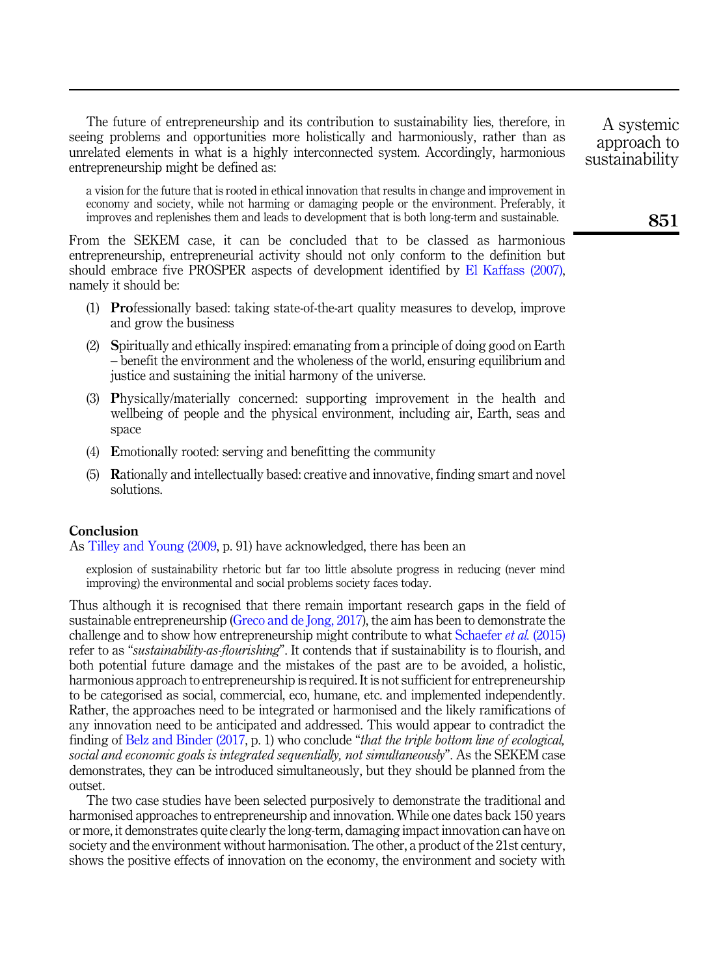The future of entrepreneurship and its contribution to sustainability lies, therefore, in seeing problems and opportunities more holistically and harmoniously, rather than as unrelated elements in what is a highly interconnected system. Accordingly, harmonious entrepreneurship might be defined as:

a vision for the future that is rooted in ethical innovation that results in change and improvement in economy and society, while not harming or damaging people or the environment. Preferably, it improves and replenishes them and leads to development that is both long-term and sustainable.

From the SEKEM case, it can be concluded that to be classed as harmonious entrepreneurship, entrepreneurial activity should not only conform to the definition but should embrace five PROSPER aspects of development identified by [El Kaffass \(2007\)](#page-8-18), namely it should be:

- (1) Professionally based: taking state-of-the-art quality measures to develop, improve and grow the business
- (2) Spiritually and ethically inspired: emanating from a principle of doing good on Earth – benefit the environment and the wholeness of the world, ensuring equilibrium and justice and sustaining the initial harmony of the universe.
- (3) Physically/materially concerned: supporting improvement in the health and wellbeing of people and the physical environment, including air, Earth, seas and space
- (4) Emotionally rooted: serving and benefitting the community
- (5) Rationally and intellectually based: creative and innovative, finding smart and novel solutions.

### Conclusion

As [Tilley and Young \(2009,](#page-8-16) p. 91) have acknowledged, there has been an

explosion of sustainability rhetoric but far too little absolute progress in reducing (never mind improving) the environmental and social problems society faces today.

Thus although it is recognised that there remain important research gaps in the field of sustainable entrepreneurship ([Greco and de Jong, 2017\)](#page-8-19), the aim has been to demonstrate the challenge and to show how entrepreneurship might contribute to what [Schaefer](#page-8-13) et al. (2015) refer to as "*sustainability-as-flourishing*". It contends that if sustainability is to flourish, and both potential future damage and the mistakes of the past are to be avoided, a holistic, harmonious approach to entrepreneurship is required. It is not sufficient for entrepreneurship to be categorised as social, commercial, eco, humane, etc. and implemented independently. Rather, the approaches need to be integrated or harmonised and the likely ramifications of any innovation need to be anticipated and addressed. This would appear to contradict the finding of [Belz and Binder \(2017,](#page-7-17) p. 1) who conclude "that the triple bottom line of ecological, social and economic goals is integrated sequentially, not simultaneously". As the SEKEM case demonstrates, they can be introduced simultaneously, but they should be planned from the outset.

The two case studies have been selected purposively to demonstrate the traditional and harmonised approaches to entrepreneurship and innovation. While one dates back 150 years or more, it demonstrates quite clearly the long-term, damaging impact innovation can have on society and the environment without harmonisation. The other, a product of the 21st century, shows the positive effects of innovation on the economy, the environment and society with

A systemic approach to sustainability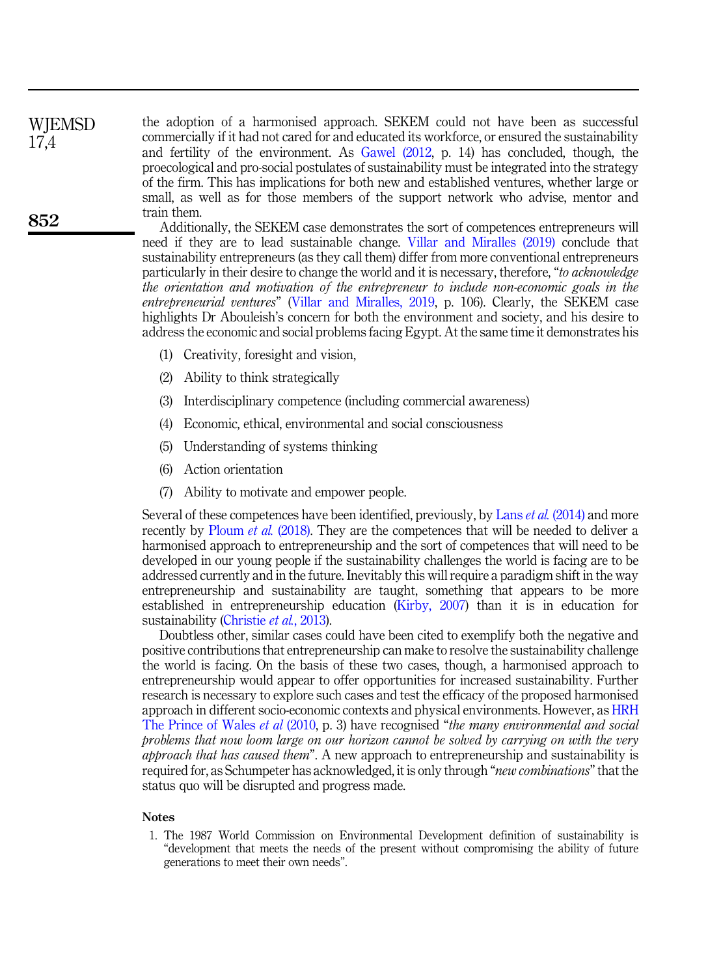the adoption of a harmonised approach. SEKEM could not have been as successful commercially if it had not cared for and educated its workforce, or ensured the sustainability and fertility of the environment. As [Gawel \(2012,](#page-8-9) p. 14) has concluded, though, the proecological and pro-social postulates of sustainability must be integrated into the strategy of the firm. This has implications for both new and established ventures, whether large or small, as well as for those members of the support network who advise, mentor and train them. **WIEMSD** 17,4

Additionally, the SEKEM case demonstrates the sort of competences entrepreneurs will need if they are to lead sustainable change. [Villar and Miralles \(2019\)](#page-8-0) conclude that sustainability entrepreneurs (as they call them) differ from more conventional entrepreneurs particularly in their desire to change the world and it is necessary, therefore, "to acknowledge the orientation and motivation of the entrepreneur to include non-economic goals in the entrepreneurial ventures" [\(Villar and Miralles, 2019,](#page-8-0) p. 106). Clearly, the SEKEM case highlights Dr Abouleish's concern for both the environment and society, and his desire to address the economic and social problems facing Egypt. At the same time it demonstrates his

- (1) Creativity, foresight and vision,
- (2) Ability to think strategically
- (3) Interdisciplinary competence (including commercial awareness)
- (4) Economic, ethical, environmental and social consciousness
- (5) Understanding of systems thinking
- (6) Action orientation
- (7) Ability to motivate and empower people.

Several of these competences have been identified, previously, by Lans et al. [\(2014\)](#page-8-20) and more recently by [Ploum](#page-8-21) *et al.* (2018). They are the competences that will be needed to deliver a harmonised approach to entrepreneurship and the sort of competences that will need to be developed in our young people if the sustainability challenges the world is facing are to be addressed currently and in the future. Inevitably this will require a paradigm shift in the way entrepreneurship and sustainability are taught, something that appears to be more established in entrepreneurship education ([Kirby, 2007](#page-8-22)) than it is in education for sustainability ([Christie](#page-7-18) et al., 2013).

Doubtless other, similar cases could have been cited to exemplify both the negative and positive contributions that entrepreneurship can make to resolve the sustainability challenge the world is facing. On the basis of these two cases, though, a harmonised approach to entrepreneurship would appear to offer opportunities for increased sustainability. Further research is necessary to explore such cases and test the efficacy of the proposed harmonised approach in different socio-economic contexts and physical environments. However, as [HRH](#page-8-17) [The Prince of Wales](#page-8-17) *et al* (2010, p. 3) have recognised "the many environmental and social problems that now loom large on our horizon cannot be solved by carrying on with the very *approach that has caused them*". A new approach to entrepreneurship and sustainability is required for, as Schumpeter has acknowledged, it is only through "*new combinations*" that the status quo will be disrupted and progress made.

#### Notes

<span id="page-6-0"></span>1. The 1987 World Commission on Environmental Development definition of sustainability is "development that meets the needs of the present without compromising the ability of future generations to meet their own needs".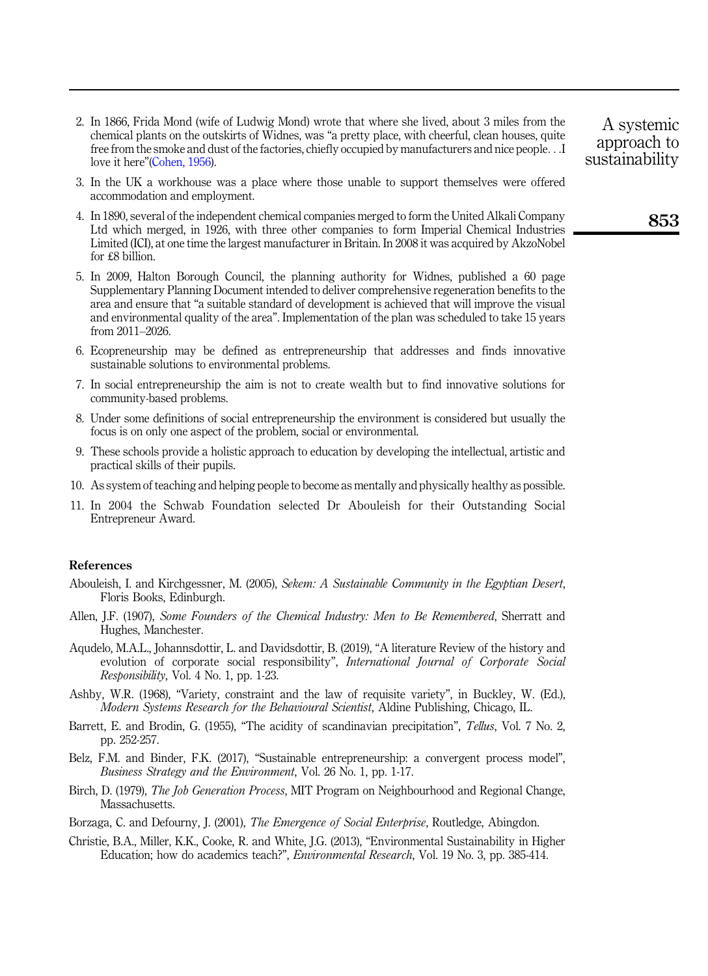- <span id="page-7-0"></span>2. In 1866, Frida Mond (wife of Ludwig Mond) wrote that where she lived, about 3 miles from the chemical plants on the outskirts of Widnes, was "a pretty place, with cheerful, clean houses, quite free from the smoke and dust of the factories, chiefly occupied by manufacturers and nice people...I love it here"[\(Cohen, 1956](#page-8-23)).
- <span id="page-7-2"></span>3. In the UK a workhouse was a place where those unable to support themselves were offered accommodation and employment.
- <span id="page-7-5"></span>4. In 1890, several of the independent chemical companies merged to form the United Alkali Company Ltd which merged, in 1926, with three other companies to form Imperial Chemical Industries Limited (ICI), at one time the largest manufacturer in Britain. In 2008 it was acquired by AkzoNobel for £8 billion.
- <span id="page-7-6"></span>5. In 2009, Halton Borough Council, the planning authority for Widnes, published a 60 page Supplementary Planning Document intended to deliver comprehensive regeneration benefits to the area and ensure that "a suitable standard of development is achieved that will improve the visual and environmental quality of the area". Implementation of the plan was scheduled to take 15 years from 2011–2026.
- <span id="page-7-9"></span>6. Ecopreneurship may be defined as entrepreneurship that addresses and finds innovative sustainable solutions to environmental problems.
- <span id="page-7-10"></span>7. In social entrepreneurship the aim is not to create wealth but to find innovative solutions for community-based problems.
- <span id="page-7-11"></span>8. Under some definitions of social entrepreneurship the environment is considered but usually the focus is on only one aspect of the problem, social or environmental.
- <span id="page-7-14"></span>9. These schools provide a holistic approach to education by developing the intellectual, artistic and practical skills of their pupils.
- <span id="page-7-15"></span>10. As system of teaching and helping people to become as mentally and physically healthy as possible.
- <span id="page-7-16"></span>11. In 2004 the Schwab Foundation selected Dr Abouleish for their Outstanding Social Entrepreneur Award.

#### References

- <span id="page-7-13"></span>Abouleish, I. and Kirchgessner, M. (2005), Sekem: A Sustainable Community in the Egyptian Desert, Floris Books, Edinburgh.
- <span id="page-7-1"></span>Allen, J.F. (1907), Some Founders of the Chemical Industry: Men to Be Remembered, Sherratt and Hughes, Manchester.
- <span id="page-7-8"></span>Aqudelo, M.A.L., Johannsdottir, L. and Davidsdottir, B. (2019), "A literature Review of the history and evolution of corporate social responsibility", International Journal of Corporate Social Responsibility, Vol. 4 No. 1, pp. 1-23.
- <span id="page-7-12"></span>Ashby, W.R. (1968), "Variety, constraint and the law of requisite variety", in Buckley, W. (Ed.), Modern Systems Research for the Behavioural Scientist, Aldine Publishing, Chicago, IL.
- <span id="page-7-3"></span>Barrett, E. and Brodin, G. (1955), "The acidity of scandinavian precipitation", Tellus, Vol. 7 No. 2, pp. 252-257.
- <span id="page-7-17"></span>Belz, F.M. and Binder, F.K. (2017), "Sustainable entrepreneurship: a convergent process model", Business Strategy and the Environment, Vol. 26 No. 1, pp. 1-17.
- <span id="page-7-4"></span>Birch, D. (1979), *The Job Generation Process*, MIT Program on Neighbourhood and Regional Change, Massachusetts.
- <span id="page-7-7"></span>Borzaga, C. and Defourny, J. (2001), *The Emergence of Social Enterprise*, Routledge, Abingdon.
- <span id="page-7-18"></span>Christie, B.A., Miller, K.K., Cooke, R. and White, J.G. (2013), "Environmental Sustainability in Higher Education; how do academics teach?", Environmental Research, Vol. 19 No. 3, pp. 385-414.

A systemic approach to sustainability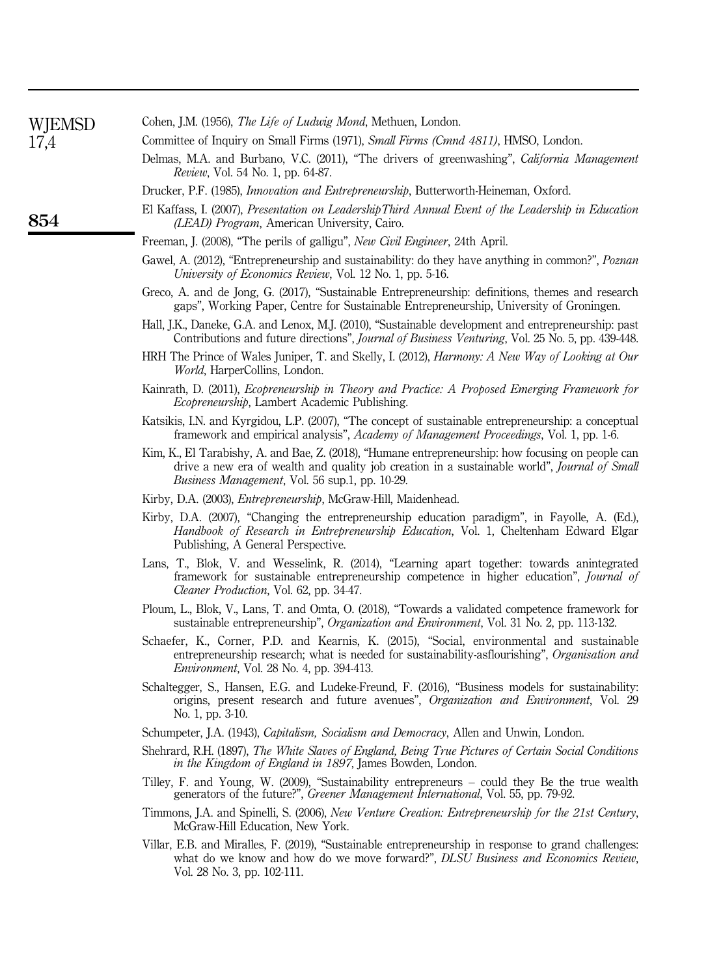<span id="page-8-23"></span><span id="page-8-22"></span><span id="page-8-21"></span><span id="page-8-20"></span><span id="page-8-19"></span><span id="page-8-18"></span><span id="page-8-17"></span><span id="page-8-16"></span><span id="page-8-15"></span><span id="page-8-14"></span><span id="page-8-13"></span><span id="page-8-12"></span><span id="page-8-11"></span><span id="page-8-10"></span><span id="page-8-9"></span><span id="page-8-8"></span><span id="page-8-7"></span><span id="page-8-6"></span><span id="page-8-5"></span><span id="page-8-4"></span><span id="page-8-3"></span><span id="page-8-2"></span><span id="page-8-1"></span><span id="page-8-0"></span>

| WJEMSD | Cohen, J.M. (1956), The Life of Ludwig Mond, Methuen, London.                                                                                                                                                                                        |  |  |
|--------|------------------------------------------------------------------------------------------------------------------------------------------------------------------------------------------------------------------------------------------------------|--|--|
| 17,4   | Committee of Inquiry on Small Firms (1971), Small Firms (Cmnd 4811), HMSO, London.                                                                                                                                                                   |  |  |
|        | Delmas, M.A. and Burbano, V.C. (2011), "The drivers of greenwashing", California Management<br><i>Review</i> , Vol. 54 No. 1, pp. 64-87.                                                                                                             |  |  |
|        | Drucker, P.F. (1985), Innovation and Entrepreneurship, Butterworth-Heineman, Oxford.                                                                                                                                                                 |  |  |
| 854    | El Kaffass, I. (2007), Presentation on Leadership Third Annual Event of the Leadership in Education<br>(LEAD) Program, American University, Cairo.                                                                                                   |  |  |
|        | Freeman, J. (2008), "The perils of galligu", New Civil Engineer, 24th April.                                                                                                                                                                         |  |  |
|        | Gawel, A. (2012), "Entrepreneurship and sustainability: do they have anything in common?", <i>Poznan</i><br>University of Economics Review, Vol. 12 No. 1, pp. 5-16.                                                                                 |  |  |
|        | Greco, A. and de Jong, G. (2017), "Sustainable Entrepreneurship: definitions, themes and research<br>gaps", Working Paper, Centre for Sustainable Entrepreneurship, University of Groningen.                                                         |  |  |
|        | Hall, J.K., Daneke, G.A. and Lenox, M.J. (2010), "Sustainable development and entrepreneurship: past<br>Contributions and future directions", Journal of Business Venturing, Vol. 25 No. 5, pp. 439-448.                                             |  |  |
|        | HRH The Prince of Wales Juniper, T. and Skelly, I. (2012), <i>Harmony: A New Way of Looking at Our</i><br>World, HarperCollins, London.                                                                                                              |  |  |
|        | Kainrath, D. (2011), <i>Ecopreneurship in Theory and Practice: A Proposed Emerging Framework for</i><br>Ecopreneurship, Lambert Academic Publishing.                                                                                                 |  |  |
|        | Katsikis, I.N. and Kyrgidou, L.P. (2007), "The concept of sustainable entrepreneurship: a conceptual<br>framework and empirical analysis", Academy of Management Proceedings, Vol. 1, pp. 1-6.                                                       |  |  |
|        | Kim, K., El Tarabishy, A. and Bae, Z. (2018), "Humane entrepreneurship: how focusing on people can<br>drive a new era of wealth and quality job creation in a sustainable world", Journal of Small<br>Business Management, Vol. 56 sup.1, pp. 10-29. |  |  |
|        | Kirby, D.A. (2003), <i>Entrepreneurship</i> , McGraw-Hill, Maidenhead.                                                                                                                                                                               |  |  |
|        | Kirby, D.A. (2007), "Changing the entrepreneurship education paradigm", in Fayolle, A. (Ed.),<br><i>Handbook of Research in Entrepreneurship Education, Vol. 1, Cheltenham Edward Elgar</i><br>Publishing, A General Perspective.                    |  |  |
|        | Lans, T., Blok, V. and Wesselink, R. (2014), "Learning apart together: towards anintegrated<br>framework for sustainable entrepreneurship competence in higher education", Journal of<br>Cleaner Production, Vol. 62, pp. 34-47.                     |  |  |
|        | Ploum, L., Blok, V., Lans, T. and Omta, O. (2018), "Towards a validated competence framework for<br>sustainable entrepreneurship", <i>Organization and Environment</i> , Vol. 31 No. 2, pp. 113-132.                                                 |  |  |
|        | Schaefer, K., Corner, P.D. and Kearnis, K. (2015), "Social, environmental and sustainable<br>entrepreneurship research; what is needed for sustainability-asflourishing", Organisation and<br>Environment, Vol. 28 No. 4, pp. 394-413.               |  |  |
|        | Schaltegger, S., Hansen, E.G. and Ludeke-Freund, F. (2016), "Business models for sustainability:<br>origins, present research and future avenues", Organization and Environment, Vol. 29<br>No. 1, pp. 3-10.                                         |  |  |
|        | Schumpeter, J.A. (1943), <i>Capitalism, Socialism and Democracy</i> , Allen and Unwin, London.                                                                                                                                                       |  |  |
|        | Shehrard, R.H. (1897), The White Slaves of England, Being True Pictures of Certain Social Conditions<br>in the Kingdom of England in 1897, James Bowden, London.                                                                                     |  |  |
|        | Tilley, F. and Young, W. (2009), "Sustainability entrepreneurs – could they Be the true wealth<br>generators of the future?", Greener Management International, Vol. 55, pp. 79-92.                                                                  |  |  |
|        | Timmons, J.A. and Spinelli, S. (2006), New Venture Creation: Entrepreneurship for the 21st Century,<br>McGraw-Hill Education, New York.                                                                                                              |  |  |
|        | Villar, E.B. and Miralles, F. (2019), "Sustainable entrepreneurship in response to grand challenges:<br>what do we know and how do we move forward?", DLSU Business and Economics Review,<br>Vol. 28 No. 3, pp. 102-111.                             |  |  |